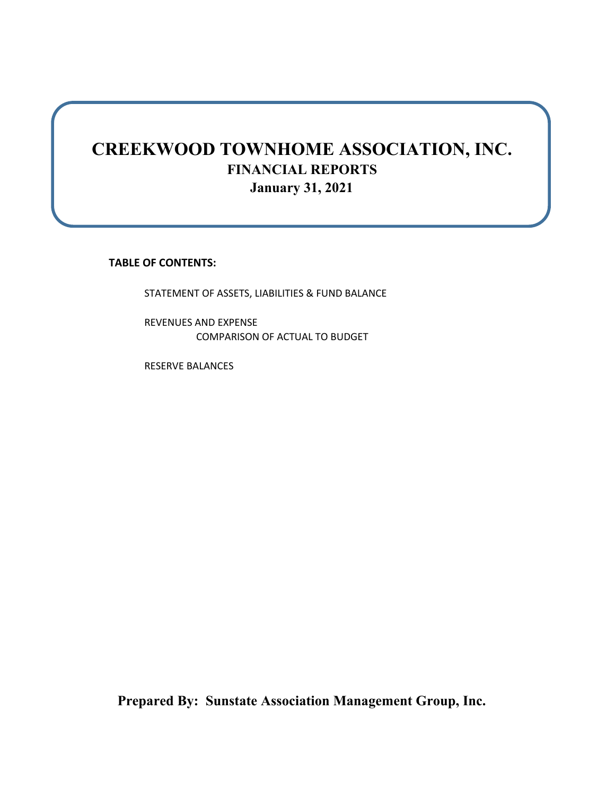## **CREEKWOOD TOWNHOME ASSOCIATION, INC. FINANCIAL REPORTS January 31, 2021**

**TABLE OF CONTENTS:**

STATEMENT OF ASSETS, LIABILITIES & FUND BALANCE

REVENUES AND EXPENSE COMPARISON OF ACTUAL TO BUDGET

RESERVE BALANCES

**Prepared By: Sunstate Association Management Group, Inc.**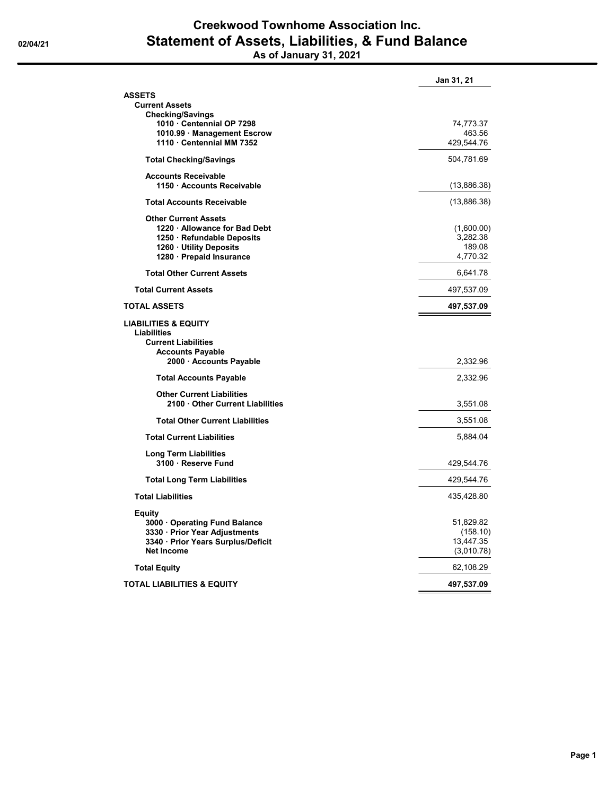# **Creekwood Townhome Association Inc. 02/04/21 Statement of Assets, Liabilities, & Fund Balance**

**As of January 31, 2021**

|                                                                     | Jan 31, 21            |
|---------------------------------------------------------------------|-----------------------|
| ASSETS                                                              |                       |
| <b>Current Assets</b><br><b>Checking/Savings</b>                    |                       |
| 1010 Centennial OP 7298                                             | 74,773.37             |
| 1010.99 Management Escrow                                           | 463.56                |
| 1110 Centennial MM 7352                                             | 429,544.76            |
| <b>Total Checking/Savings</b>                                       | 504,781.69            |
| <b>Accounts Receivable</b>                                          |                       |
| 1150 Accounts Receivable                                            | (13,886.38)           |
| <b>Total Accounts Receivable</b>                                    | (13,886.38)           |
| <b>Other Current Assets</b>                                         |                       |
| 1220 Allowance for Bad Debt                                         | (1,600.00)            |
| 1250 · Refundable Deposits                                          | 3,282.38              |
| 1260 · Utility Deposits<br>1280 - Prepaid Insurance                 | 189.08<br>4,770.32    |
| <b>Total Other Current Assets</b>                                   | 6,641.78              |
| <b>Total Current Assets</b>                                         | 497,537.09            |
| TOTAL ASSETS                                                        | 497,537.09            |
| LIABILITIES & EQUITY                                                |                       |
| <b>Liabilities</b><br><b>Current Liabilities</b>                    |                       |
| <b>Accounts Payable</b>                                             |                       |
| 2000 Accounts Payable                                               | 2,332.96              |
| <b>Total Accounts Payable</b>                                       | 2,332.96              |
| <b>Other Current Liabilities</b>                                    |                       |
| 2100 Other Current Liabilities                                      | 3,551.08              |
| <b>Total Other Current Liabilities</b>                              | 3,551.08              |
| <b>Total Current Liabilities</b>                                    | 5,884.04              |
| <b>Long Term Liabilities</b>                                        |                       |
| 3100 · Reserve Fund                                                 | 429,544.76            |
| <b>Total Long Term Liabilities</b>                                  | 429,544.76            |
| <b>Total Liabilities</b>                                            | 435,428.80            |
| Equity                                                              |                       |
| 3000 Operating Fund Balance                                         | 51,829.82             |
| 3330 · Prior Year Adjustments<br>3340 · Prior Years Surplus/Deficit | (158.10)<br>13,447.35 |
| <b>Net Income</b>                                                   | (3,010.78)            |
| <b>Total Equity</b>                                                 | 62,108.29             |
| TOTAL LIABILITIES & EQUITY                                          | 497,537.09            |
|                                                                     |                       |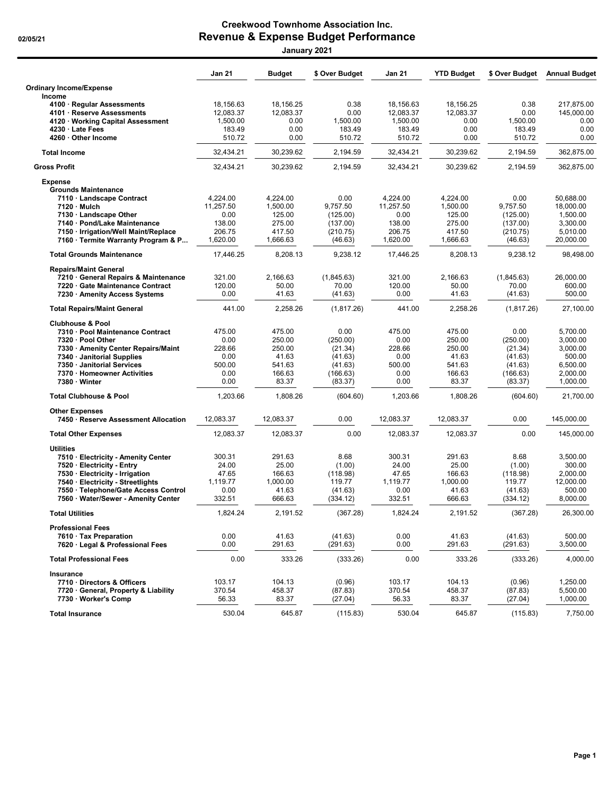### **Creekwood Townhome Association Inc. 02/05/21 Revenue & Expense Budget Performance January 2021**

|                                                                      | <b>Jan 21</b>         | <b>Budget</b>          | \$ Over Budget      | <b>Jan 21</b>          | <b>YTD Budget</b>      | \$ Over Budget      | <b>Annual Budget</b>     |
|----------------------------------------------------------------------|-----------------------|------------------------|---------------------|------------------------|------------------------|---------------------|--------------------------|
| <b>Ordinary Income/Expense</b>                                       |                       |                        |                     |                        |                        |                     |                          |
| Income                                                               |                       |                        |                     |                        |                        |                     |                          |
| 4100 · Regular Assessments<br>4101 · Reserve Assessments             | 18,156.63             | 18,156.25<br>12,083.37 | 0.38<br>0.00        | 18,156.63<br>12,083.37 | 18,156.25<br>12,083.37 | 0.38<br>0.00        | 217,875.00<br>145.000.00 |
| 4120 · Working Capital Assessment                                    | 12,083.37<br>1.500.00 | 0.00                   | 1,500.00            | 1,500.00               | 0.00                   | 1,500.00            | 0.00                     |
| 4230 · Late Fees                                                     | 183.49                | 0.00                   | 183.49              | 183.49                 | 0.00                   | 183.49              | 0.00                     |
| 4260 · Other Income                                                  | 510.72                | 0.00                   | 510.72              | 510.72                 | 0.00                   | 510.72              | 0.00                     |
| <b>Total Income</b>                                                  | 32,434.21             | 30,239.62              | 2,194.59            | 32,434.21              | 30,239.62              | 2,194.59            | 362,875.00               |
| <b>Gross Profit</b>                                                  | 32,434.21             | 30,239.62              | 2,194.59            | 32,434.21              | 30,239.62              | 2,194.59            | 362,875.00               |
| <b>Expense</b>                                                       |                       |                        |                     |                        |                        |                     |                          |
| <b>Grounds Maintenance</b>                                           |                       |                        |                     |                        |                        |                     |                          |
| 7110 · Landscape Contract                                            | 4.224.00              | 4,224.00               | 0.00                | 4,224.00               | 4,224.00               | 0.00                | 50,688.00                |
| 7120 · Mulch                                                         | 11,257.50             | 1,500.00               | 9,757.50            | 11,257.50              | 1,500.00               | 9,757.50            | 18,000.00                |
| 7130 · Landscape Other                                               | 0.00<br>138.00        | 125.00<br>275.00       | (125.00)            | 0.00                   | 125.00                 | (125.00)            | 1,500.00                 |
| 7140 · Pond/Lake Maintenance<br>7150 · Irrigation/Well Maint/Replace | 206.75                | 417.50                 | (137.00)            | 138.00<br>206.75       | 275.00<br>417.50       | (137.00)            | 3,300.00<br>5,010.00     |
| 7160 · Termite Warranty Program & P                                  | 1,620.00              | 1,666.63               | (210.75)<br>(46.63) | 1,620.00               | 1,666.63               | (210.75)<br>(46.63) | 20,000.00                |
| <b>Total Grounds Maintenance</b>                                     | 17,446.25             | 8,208.13               | 9,238.12            | 17,446.25              | 8,208.13               | 9,238.12            | 98,498.00                |
|                                                                      |                       |                        |                     |                        |                        |                     |                          |
| <b>Repairs/Maint General</b><br>7210 · General Repairs & Maintenance | 321.00                |                        |                     | 321.00                 | 2,166.63               |                     |                          |
| 7220 · Gate Maintenance Contract                                     | 120.00                | 2,166.63<br>50.00      | (1,845.63)<br>70.00 | 120.00                 | 50.00                  | (1,845.63)<br>70.00 | 26,000.00<br>600.00      |
| 7230 · Amenity Access Systems                                        | 0.00                  | 41.63                  | (41.63)             | 0.00                   | 41.63                  | (41.63)             | 500.00                   |
| <b>Total Repairs/Maint General</b>                                   | 441.00                | 2,258.26               | (1, 817.26)         | 441.00                 | 2,258.26               | (1,817.26)          | 27,100.00                |
| <b>Clubhouse &amp; Pool</b>                                          |                       |                        |                     |                        |                        |                     |                          |
| 7310 · Pool Maintenance Contract                                     | 475.00                | 475.00                 | 0.00                | 475.00                 | 475.00                 | 0.00                | 5,700.00                 |
| 7320 · Pool Other                                                    | 0.00                  | 250.00                 | (250.00)            | 0.00                   | 250.00                 | (250.00)            | 3,000.00                 |
| 7330 • Amenity Center Repairs/Maint                                  | 228.66                | 250.00                 | (21.34)             | 228.66                 | 250.00                 | (21.34)             | 3,000.00                 |
| 7340 · Janitorial Supplies                                           | 0.00                  | 41.63                  | (41.63)             | 0.00                   | 41.63                  | (41.63)             | 500.00                   |
| 7350 · Janitorial Services                                           | 500.00                | 541.63                 | (41.63)             | 500.00                 | 541.63                 | (41.63)             | 6,500.00                 |
| 7370 · Homeowner Activities                                          | 0.00                  | 166.63                 | (166.63)            | 0.00                   | 166.63                 | (166.63)            | 2,000.00                 |
| 7380 · Winter                                                        | 0.00                  | 83.37                  | (83.37)             | 0.00                   | 83.37                  | (83.37)             | 1,000.00                 |
| <b>Total Clubhouse &amp; Pool</b>                                    | 1,203.66              | 1,808.26               | (604.60)            | 1,203.66               | 1,808.26               | (604.60)            | 21,700.00                |
| <b>Other Expenses</b>                                                |                       |                        |                     |                        |                        |                     |                          |
| 7450 · Reserve Assessment Allocation                                 | 12,083.37             | 12,083.37              | 0.00                | 12,083.37              | 12,083.37              | 0.00                | 145,000.00               |
| <b>Total Other Expenses</b>                                          | 12,083.37             | 12,083.37              | 0.00                | 12,083.37              | 12,083.37              | 0.00                | 145,000.00               |
| <b>Utilities</b>                                                     |                       |                        |                     |                        |                        |                     |                          |
| 7510 · Electricity - Amenity Center                                  | 300.31<br>24.00       | 291.63                 | 8.68                | 300.31                 | 291.63                 | 8.68                | 3,500.00                 |
| 7520 · Electricity - Entry                                           |                       | 25.00                  | (1.00)              | 24.00                  | 25.00                  | (1.00)              | 300.00                   |
| 7530 · Electricity - Irrigation<br>7540 · Electricity - Streetlights | 47.65<br>1,119.77     | 166.63<br>1,000.00     | (118.98)<br>119.77  | 47.65<br>1,119.77      | 166.63<br>1,000.00     | (118.98)<br>119.77  | 2,000.00<br>12,000.00    |
| 7550 · Telephone/Gate Access Control                                 | 0.00                  | 41.63                  | (41.63)             | 0.00                   | 41.63                  | (41.63)             | 500.00                   |
| 7560 · Water/Sewer - Amenity Center                                  | 332.51                | 666.63                 | (334.12)            | 332.51                 | 666.63                 | (334.12)            | 8,000.00                 |
| <b>Total Utilities</b>                                               | 1,824.24              | 2,191.52               | (367.28)            | 1,824.24               | 2,191.52               | (367.28)            | 26,300.00                |
| <b>Professional Fees</b>                                             |                       |                        |                     |                        |                        |                     |                          |
| 7610 · Tax Preparation                                               | 0.00                  | 41.63                  | (41.63)             | 0.00                   | 41.63                  | (41.63)             | 500.00                   |
| 7620 · Legal & Professional Fees                                     | 0.00                  | 291.63                 | (291.63)            | 0.00                   | 291.63                 | (291.63)            | 3,500.00                 |
| <b>Total Professional Fees</b>                                       | 0.00                  | 333.26                 | (333.26)            | 0.00                   | 333.26                 | (333.26)            | 4,000.00                 |
| Insurance                                                            |                       |                        |                     |                        |                        |                     |                          |
| 7710 · Directors & Officers                                          | 103.17                | 104.13                 | (0.96)              | 103.17                 | 104.13                 | (0.96)              | 1,250.00                 |
| 7720 · General, Property & Liability                                 | 370.54                | 458.37                 | (87.83)             | 370.54                 | 458.37                 | (87.83)             | 5,500.00                 |
| 7730 · Worker's Comp                                                 | 56.33                 | 83.37                  | (27.04)             | 56.33                  | 83.37                  | (27.04)             | 1,000.00                 |
| <b>Total Insurance</b>                                               | 530.04                | 645.87                 | (115.83)            | 530.04                 | 645.87                 | (115.83)            | 7,750.00                 |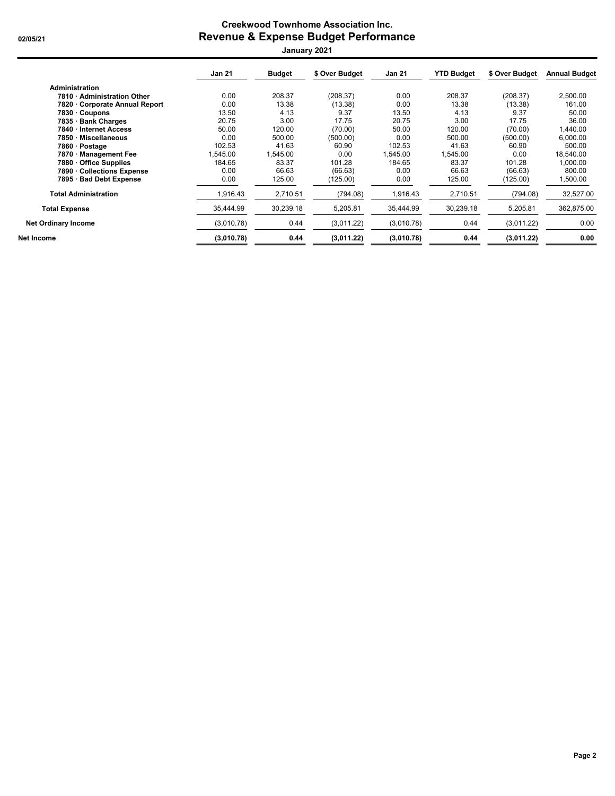### **Creekwood Townhome Association Inc. 02/05/21 Revenue & Expense Budget Performance January 2021**

|                                | <b>Jan 21</b> | <b>Budget</b> | \$ Over Budget | <b>Jan 21</b> | <b>YTD Budget</b> | \$ Over Budget | <b>Annual Budget</b> |
|--------------------------------|---------------|---------------|----------------|---------------|-------------------|----------------|----------------------|
| <b>Administration</b>          |               |               |                |               |                   |                |                      |
| 7810 · Administration Other    | 0.00          | 208.37        | (208.37)       | 0.00          | 208.37            | (208.37)       | 2,500.00             |
| 7820 · Corporate Annual Report | 0.00          | 13.38         | (13.38)        | 0.00          | 13.38             | (13.38)        | 161.00               |
| 7830 · Coupons                 | 13.50         | 4.13          | 9.37           | 13.50         | 4.13              | 9.37           | 50.00                |
| 7835 · Bank Charges            | 20.75         | 3.00          | 17.75          | 20.75         | 3.00              | 17.75          | 36.00                |
| 7840 · Internet Access         | 50.00         | 120.00        | (70.00)        | 50.00         | 120.00            | (70.00)        | 1,440.00             |
| 7850 · Miscellaneous           | 0.00          | 500.00        | (500.00)       | 0.00          | 500.00            | (500.00)       | 6,000.00             |
| 7860 · Postage                 | 102.53        | 41.63         | 60.90          | 102.53        | 41.63             | 60.90          | 500.00               |
| 7870 Management Fee            | .545.00       | .545.00       | 0.00           | 1.545.00      | 1,545.00          | 0.00           | 18,540.00            |
| 7880 · Office Supplies         | 184.65        | 83.37         | 101.28         | 184.65        | 83.37             | 101.28         | 1,000.00             |
| 7890 Collections Expense       | 0.00          | 66.63         | (66.63)        | 0.00          | 66.63             | (66.63)        | 800.00               |
| 7895 · Bad Debt Expense        | 0.00          | 125.00        | (125.00)       | 0.00          | 125.00            | (125.00)       | 1,500.00             |
| <b>Total Administration</b>    | 1,916.43      | 2,710.51      | (794.08)       | 1.916.43      | 2.710.51          | (794.08)       | 32,527.00            |
| <b>Total Expense</b>           | 35.444.99     | 30,239.18     | 5,205.81       | 35,444.99     | 30,239.18         | 5,205.81       | 362,875.00           |
| <b>Net Ordinary Income</b>     | (3,010.78)    | 0.44          | (3,011.22)     | (3,010.78)    | 0.44              | (3,011.22)     | 0.00                 |
| Net Income                     | (3,010.78)    | 0.44          | (3,011.22)     | (3,010.78)    | 0.44              | (3,011.22)     | 0.00                 |